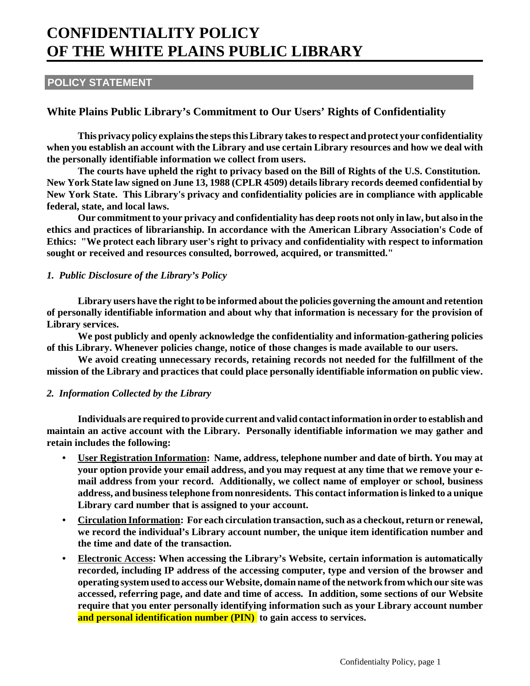# **CONFIDENTIALITY POLICY OF THE WHITE PLAINS PUBLIC LIBRARY**

## **POLICY STATEMENT**

# **White Plains Public Library's Commitment to Our Users' Rights of Confidentiality**

**This privacy policy explains the steps this Library takes to respect and protect your confidentiality when you establish an account with the Library and use certain Library resources and how we deal with the personally identifiable information we collect from users.** 

**The courts have upheld the right to privacy based on the Bill of Rights of the U.S. Constitution. New York State law signed on June 13, 1988 (CPLR 4509) details library records deemed confidential by New York State. This Library's privacy and confidentiality policies are in compliance with applicable federal, state, and local laws.** 

**Our commitment to your privacy and confidentiality has deep roots not only in law, but also in the ethics and practices of librarianship. In accordance with the American Library Association's Code of Ethics: "We protect each library user's right to privacy and confidentiality with respect to information sought or received and resources consulted, borrowed, acquired, or transmitted."**

### *1. Public Disclosure of the Library's Policy*

**Library users have the right to be informed about the policies governing the amount and retention of personally identifiable information and about why that information is necessary for the provision of Library services.**

**We post publicly and openly acknowledge the confidentiality and information-gathering policies of this Library. Whenever policies change, notice of those changes is made available to our users.**

**We avoid creating unnecessary records, retaining records not needed for the fulfillment of the mission of the Library and practices that could place personally identifiable information on public view.**

### *2. Information Collected by the Library*

**Individuals are required to provide current and valid contact information in order to establish and maintain an active account with the Library. Personally identifiable information we may gather and retain includes the following:**

- **User Registration Information: Name, address, telephone number and date of birth. You may at your option provide your email address, and you may request at any time that we remove your email address from your record. Additionally, we collect name of employer or school, business address, and business telephone from nonresidents. This contact information is linked to a unique Library card number that is assigned to your account.**
- **Circulation Information: For each circulation transaction, such as a checkout, return or renewal, we record the individual's Library account number, the unique item identification number and the time and date of the transaction.**
- **Electronic Access: When accessing the Library's Website, certain information is automatically recorded, including IP address of the accessing computer, type and version of the browser and operating system used to access our Website, domain name of the network from which our site was accessed, referring page, and date and time of access. In addition, some sections of our Website require that you enter personally identifying information such as your Library account number and personal identification number (PIN) to gain access to services.**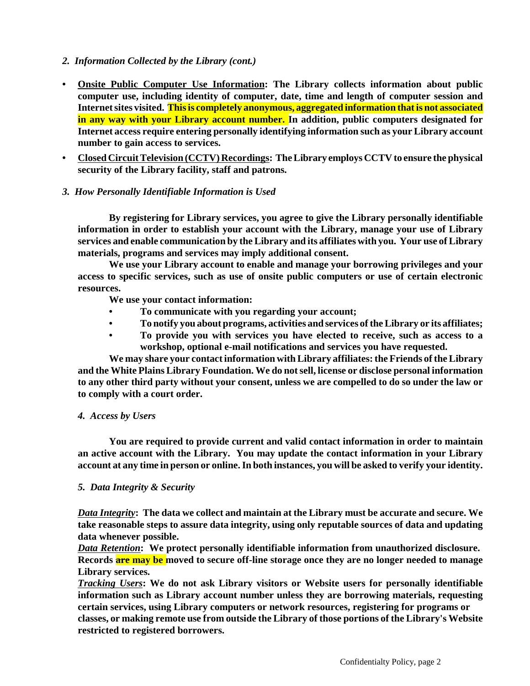- *2. Information Collected by the Library (cont.)*
- **Onsite Public Computer Use Information: The Library collects information about public computer use, including identity of computer, date, time and length of computer session and Internet sites visited. Thisis completely anonymous, aggregated information thatis not associated in any way with your Library account number. In addition, public computers designated for Internet access require entering personally identifying information such as your Library account number to gain access to services.**
- **Closed Circuit Television (CCTV) Recordings: The Library employs CCTV to ensure the physical security of the Library facility, staff and patrons.**

### *3. How Personally Identifiable Information is Used*

**By registering for Library services, you agree to give the Library personally identifiable information in order to establish your account with the Library, manage your use of Library services and enable communication by the Library and its affiliates with you. Your use of Library materials, programs and services may imply additional consent.** 

**We use your Library account to enable and manage your borrowing privileges and your access to specific services, such as use of onsite public computers or use of certain electronic resources.**

**We use your contact information:**

- **To communicate with you regarding your account;**
- **To notify you about programs, activities and services of the Library or its affiliates;**
- **To provide you with services you have elected to receive, such as access to a workshop, optional e-mail notifications and services you have requested.**

**We may share your contact information with Library affiliates: the Friends of the Library and the White Plains Library Foundation. We do not sell, license or disclose personal information to any other third party without your consent, unless we are compelled to do so under the law or to comply with a court order.**

### *4. Access by Users*

**You are required to provide current and valid contact information in order to maintain an active account with the Library. You may update the contact information in your Library account at any time in person or online. In both instances, you will be asked to verify your identity.**

### *5. Data Integrity & Security*

*Data Integrity***: The data we collect and maintain at the Library must be accurate and secure. We take reasonable steps to assure data integrity, using only reputable sources of data and updating data whenever possible.**

*Data Retention***: We protect personally identifiable information from unauthorized disclosure. Records are may be moved to secure off-line storage once they are no longer needed to manage Library services.**

*Tracking Users***: We do not ask Library visitors or Website users for personally identifiable information such as Library account number unless they are borrowing materials, requesting certain services, using Library computers or network resources, registering for programs or classes, or making remote use from outside the Library of those portions of the Library's Website restricted to registered borrowers.**